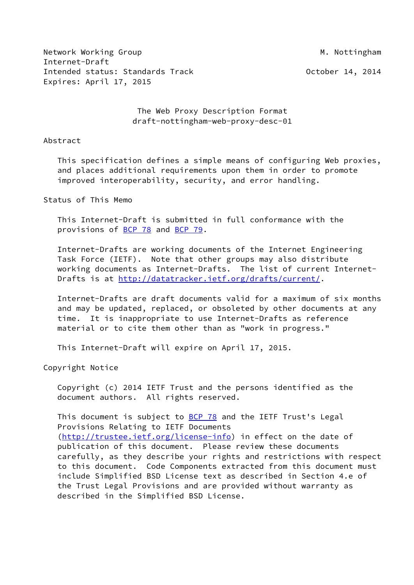Network Working Group Metwork Working Group Metwork Methods and Metal Metal Metal Metal Metal Metal Metal Metal Internet-Draft Intended status: Standards Track and Communication of Catalogue of the Contract of the October 14, 2014 Expires: April 17, 2015

 The Web Proxy Description Format draft-nottingham-web-proxy-desc-01

### Abstract

 This specification defines a simple means of configuring Web proxies, and places additional requirements upon them in order to promote improved interoperability, security, and error handling.

### Status of This Memo

 This Internet-Draft is submitted in full conformance with the provisions of [BCP 78](https://datatracker.ietf.org/doc/pdf/bcp78) and [BCP 79](https://datatracker.ietf.org/doc/pdf/bcp79).

 Internet-Drafts are working documents of the Internet Engineering Task Force (IETF). Note that other groups may also distribute working documents as Internet-Drafts. The list of current Internet Drafts is at<http://datatracker.ietf.org/drafts/current/>.

 Internet-Drafts are draft documents valid for a maximum of six months and may be updated, replaced, or obsoleted by other documents at any time. It is inappropriate to use Internet-Drafts as reference material or to cite them other than as "work in progress."

This Internet-Draft will expire on April 17, 2015.

Copyright Notice

 Copyright (c) 2014 IETF Trust and the persons identified as the document authors. All rights reserved.

This document is subject to **[BCP 78](https://datatracker.ietf.org/doc/pdf/bcp78)** and the IETF Trust's Legal Provisions Relating to IETF Documents [\(http://trustee.ietf.org/license-info](http://trustee.ietf.org/license-info)) in effect on the date of publication of this document. Please review these documents carefully, as they describe your rights and restrictions with respect to this document. Code Components extracted from this document must include Simplified BSD License text as described in Section 4.e of the Trust Legal Provisions and are provided without warranty as described in the Simplified BSD License.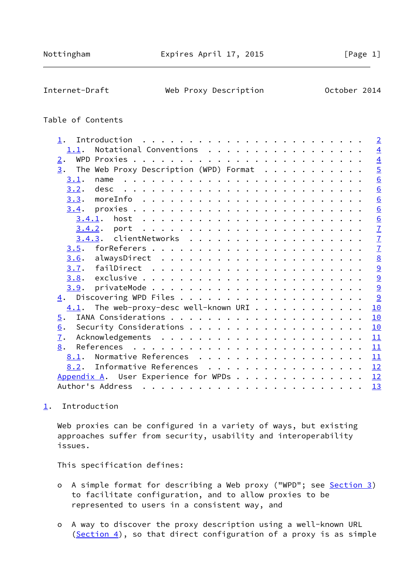<span id="page-1-1"></span>Internet-Draft Web Proxy Description October 2014

## Table of Contents

| 1.               |                                                       |                                                                                                                                                                                                                                                                                                                                                                                         |  |  |  |  |  |  |  |  | $\overline{2}$  |
|------------------|-------------------------------------------------------|-----------------------------------------------------------------------------------------------------------------------------------------------------------------------------------------------------------------------------------------------------------------------------------------------------------------------------------------------------------------------------------------|--|--|--|--|--|--|--|--|-----------------|
| 1.1.             | Notational Conventions                                |                                                                                                                                                                                                                                                                                                                                                                                         |  |  |  |  |  |  |  |  | $\overline{4}$  |
| 2.               |                                                       |                                                                                                                                                                                                                                                                                                                                                                                         |  |  |  |  |  |  |  |  | $\overline{4}$  |
| $\overline{3}$ . | The Web Proxy Description (WPD) Format $\ldots$       |                                                                                                                                                                                                                                                                                                                                                                                         |  |  |  |  |  |  |  |  | $\overline{5}$  |
| 3.1.             | name                                                  |                                                                                                                                                                                                                                                                                                                                                                                         |  |  |  |  |  |  |  |  | 6               |
| 3.2.             |                                                       |                                                                                                                                                                                                                                                                                                                                                                                         |  |  |  |  |  |  |  |  | $\underline{6}$ |
|                  |                                                       |                                                                                                                                                                                                                                                                                                                                                                                         |  |  |  |  |  |  |  |  | $\underline{6}$ |
|                  |                                                       |                                                                                                                                                                                                                                                                                                                                                                                         |  |  |  |  |  |  |  |  | 6               |
| 3.4.1.           |                                                       |                                                                                                                                                                                                                                                                                                                                                                                         |  |  |  |  |  |  |  |  | $\underline{6}$ |
|                  |                                                       |                                                                                                                                                                                                                                                                                                                                                                                         |  |  |  |  |  |  |  |  | $\mathbf{Z}$    |
|                  |                                                       |                                                                                                                                                                                                                                                                                                                                                                                         |  |  |  |  |  |  |  |  | $\overline{1}$  |
|                  |                                                       |                                                                                                                                                                                                                                                                                                                                                                                         |  |  |  |  |  |  |  |  | $\overline{1}$  |
|                  |                                                       |                                                                                                                                                                                                                                                                                                                                                                                         |  |  |  |  |  |  |  |  | $\underline{8}$ |
| 3.7.             |                                                       |                                                                                                                                                                                                                                                                                                                                                                                         |  |  |  |  |  |  |  |  | 9               |
|                  |                                                       |                                                                                                                                                                                                                                                                                                                                                                                         |  |  |  |  |  |  |  |  | 9               |
| 3.9.             |                                                       |                                                                                                                                                                                                                                                                                                                                                                                         |  |  |  |  |  |  |  |  | 9               |
| 4.               |                                                       |                                                                                                                                                                                                                                                                                                                                                                                         |  |  |  |  |  |  |  |  | 9               |
|                  | $\frac{4.1}{4.1}$ . The web-proxy-desc well-known URI |                                                                                                                                                                                                                                                                                                                                                                                         |  |  |  |  |  |  |  |  | 10              |
| 5.               |                                                       |                                                                                                                                                                                                                                                                                                                                                                                         |  |  |  |  |  |  |  |  | 10              |
| 6.               |                                                       |                                                                                                                                                                                                                                                                                                                                                                                         |  |  |  |  |  |  |  |  | 10              |
| 7.               |                                                       |                                                                                                                                                                                                                                                                                                                                                                                         |  |  |  |  |  |  |  |  | 11              |
| 8.               |                                                       |                                                                                                                                                                                                                                                                                                                                                                                         |  |  |  |  |  |  |  |  | 11              |
| 8.1.             | Normative References                                  |                                                                                                                                                                                                                                                                                                                                                                                         |  |  |  |  |  |  |  |  | 11              |
| 8.2.             | Informative References                                |                                                                                                                                                                                                                                                                                                                                                                                         |  |  |  |  |  |  |  |  | 12              |
|                  | Appendix A. User Experience for WPDs                  |                                                                                                                                                                                                                                                                                                                                                                                         |  |  |  |  |  |  |  |  | 12              |
|                  | Author's Address                                      | $\mathbf{a}^{(i)} \mathbf{a}^{(i)} \mathbf{a}^{(i)} \mathbf{a}^{(i)} \mathbf{a}^{(i)} \mathbf{a}^{(i)} \mathbf{a}^{(i)} \mathbf{a}^{(i)} \mathbf{a}^{(i)} \mathbf{a}^{(i)} \mathbf{a}^{(i)} \mathbf{a}^{(i)} \mathbf{a}^{(i)} \mathbf{a}^{(i)} \mathbf{a}^{(i)} \mathbf{a}^{(i)} \mathbf{a}^{(i)} \mathbf{a}^{(i)} \mathbf{a}^{(i)} \mathbf{a}^{(i)} \mathbf{a}^{(i)} \mathbf{a}^{(i)}$ |  |  |  |  |  |  |  |  | 13              |
|                  |                                                       |                                                                                                                                                                                                                                                                                                                                                                                         |  |  |  |  |  |  |  |  |                 |

## <span id="page-1-0"></span>[1](#page-1-0). Introduction

Web proxies can be configured in a variety of ways, but existing approaches suffer from security, usability and interoperability issues.

This specification defines:

- o A simple format for describing a Web proxy ("WPD"; see [Section 3\)](#page-4-0) to facilitate configuration, and to allow proxies to be represented to users in a consistent way, and
- o A way to discover the proxy description using a well-known URL ([Section 4\)](#page-9-4), so that direct configuration of a proxy is as simple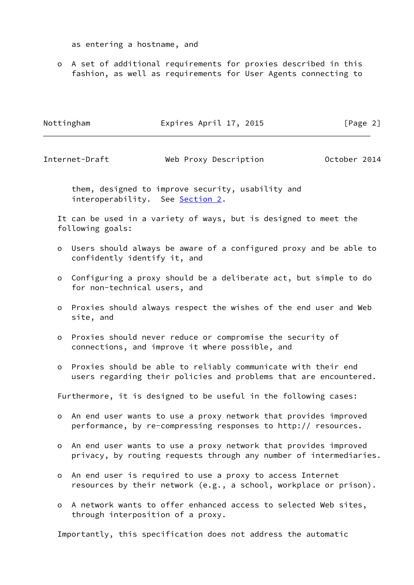as entering a hostname, and

 o A set of additional requirements for proxies described in this fashion, as well as requirements for User Agents connecting to

| Nottingham | Expires April 17, 2015 | [Page 2] |
|------------|------------------------|----------|
|            |                        |          |

Internet-Draft Web Proxy Description October 2014

 them, designed to improve security, usability and interoperability. See **Section 2.** 

 It can be used in a variety of ways, but is designed to meet the following goals:

- o Users should always be aware of a configured proxy and be able to confidently identify it, and
- o Configuring a proxy should be a deliberate act, but simple to do for non-technical users, and
- o Proxies should always respect the wishes of the end user and Web site, and
- o Proxies should never reduce or compromise the security of connections, and improve it where possible, and
- o Proxies should be able to reliably communicate with their end users regarding their policies and problems that are encountered.

Furthermore, it is designed to be useful in the following cases:

- o An end user wants to use a proxy network that provides improved performance, by re-compressing responses to http:// resources.
- o An end user wants to use a proxy network that provides improved privacy, by routing requests through any number of intermediaries.
- o An end user is required to use a proxy to access Internet resources by their network (e.g., a school, workplace or prison).
- o A network wants to offer enhanced access to selected Web sites, through interposition of a proxy.

Importantly, this specification does not address the automatic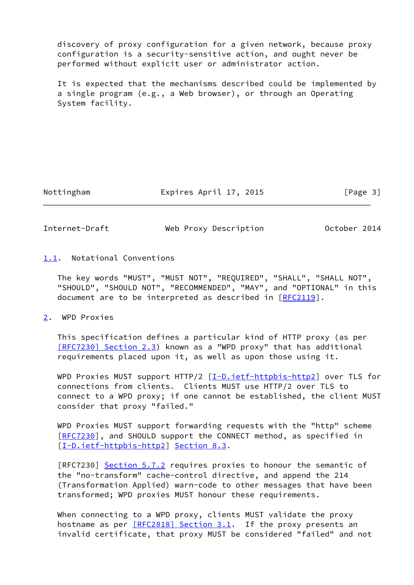discovery of proxy configuration for a given network, because proxy configuration is a security-sensitive action, and ought never be performed without explicit user or administrator action.

 It is expected that the mechanisms described could be implemented by a single program (e.g., a Web browser), or through an Operating System facility.

Nottingham **Expires April 17, 2015** [Page 3]

<span id="page-3-1"></span>Internet-Draft Web Proxy Description October 2014

<span id="page-3-0"></span>[1.1](#page-3-0). Notational Conventions

 The key words "MUST", "MUST NOT", "REQUIRED", "SHALL", "SHALL NOT", "SHOULD", "SHOULD NOT", "RECOMMENDED", "MAY", and "OPTIONAL" in this document are to be interpreted as described in [\[RFC2119](https://datatracker.ietf.org/doc/pdf/rfc2119)].

<span id="page-3-2"></span>[2](#page-3-2). WPD Proxies

 This specification defines a particular kind of HTTP proxy (as per [\[RFC7230\] Section](https://datatracker.ietf.org/doc/pdf/rfc7230#section-2.3) 2.3) known as a "WPD proxy" that has additional requirements placed upon it, as well as upon those using it.

WPD Proxies MUST support HTTP/2  $[I-D.iett-httpbis-http2]$  over TLS for connections from clients. Clients MUST use HTTP/2 over TLS to connect to a WPD proxy; if one cannot be established, the client MUST consider that proxy "failed."

 WPD Proxies MUST support forwarding requests with the "http" scheme [\[RFC7230](https://datatracker.ietf.org/doc/pdf/rfc7230)], and SHOULD support the CONNECT method, as specified in [\[I-D.ietf-httpbis-http2](#page-11-5)] Section 8.3.

[RFC7230] Section 5.7.2 requires proxies to honour the semantic of the "no-transform" cache-control directive, and append the 214 (Transformation Applied) warn-code to other messages that have been transformed; WPD proxies MUST honour these requirements.

 When connecting to a WPD proxy, clients MUST validate the proxy hostname as per [\[RFC2818\] Section](https://datatracker.ietf.org/doc/pdf/rfc2818#section-3.1) 3.1. If the proxy presents an invalid certificate, that proxy MUST be considered "failed" and not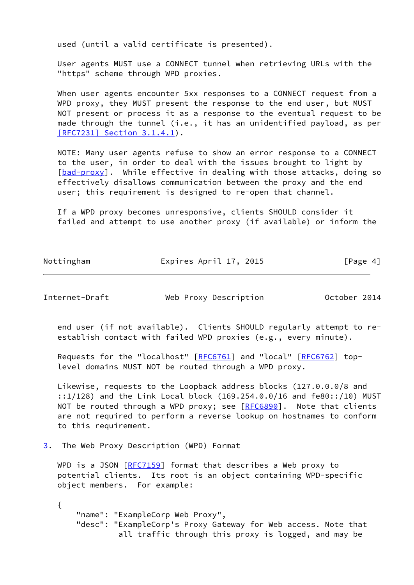used (until a valid certificate is presented).

 User agents MUST use a CONNECT tunnel when retrieving URLs with the "https" scheme through WPD proxies.

 When user agents encounter 5xx responses to a CONNECT request from a WPD proxy, they MUST present the response to the end user, but MUST NOT present or process it as a response to the eventual request to be made through the tunnel (i.e., it has an unidentified payload, as per [\[RFC7231\] Section](https://datatracker.ietf.org/doc/pdf/rfc7231#section-3.1.4.1) 3.1.4.1).

 NOTE: Many user agents refuse to show an error response to a CONNECT to the user, in order to deal with the issues brought to light by [\[bad-proxy](#page-13-2)]. While effective in dealing with those attacks, doing so effectively disallows communication between the proxy and the end user; this requirement is designed to re-open that channel.

 If a WPD proxy becomes unresponsive, clients SHOULD consider it failed and attempt to use another proxy (if available) or inform the

| Nottingham | Expires April 17, 2015 | [Page 4] |
|------------|------------------------|----------|

<span id="page-4-1"></span>Internet-Draft Web Proxy Description October 2014

 end user (if not available). Clients SHOULD regularly attempt to re establish contact with failed WPD proxies (e.g., every minute).

 Requests for the "localhost" [\[RFC6761](https://datatracker.ietf.org/doc/pdf/rfc6761)] and "local" [[RFC6762\]](https://datatracker.ietf.org/doc/pdf/rfc6762) top level domains MUST NOT be routed through a WPD proxy.

 Likewise, requests to the Loopback address blocks (127.0.0.0/8 and ::1/128) and the Link Local block (169.254.0.0/16 and fe80::/10) MUST NOT be routed through a WPD proxy; see [\[RFC6890](https://datatracker.ietf.org/doc/pdf/rfc6890)]. Note that clients are not required to perform a reverse lookup on hostnames to conform to this requirement.

<span id="page-4-0"></span>[3](#page-4-0). The Web Proxy Description (WPD) Format

WPD is a JSON [[RFC7159](https://datatracker.ietf.org/doc/pdf/rfc7159)] format that describes a Web proxy to potential clients. Its root is an object containing WPD-specific object members. For example:

 { "name": "ExampleCorp Web Proxy", "desc": "ExampleCorp's Proxy Gateway for Web access. Note that all traffic through this proxy is logged, and may be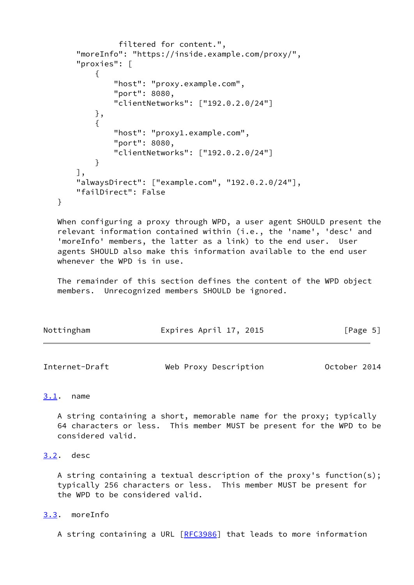```
 filtered for content.",
       "moreInfo": "https://inside.example.com/proxy/",
       "proxies": [
\{ "host": "proxy.example.com",
               "port": 8080,
               "clientNetworks": ["192.0.2.0/24"]
           },
\{ "host": "proxy1.example.com",
               "port": 8080,
               "clientNetworks": ["192.0.2.0/24"]
 }
       ],
       "alwaysDirect": ["example.com", "192.0.2.0/24"],
       "failDirect": False
```
 When configuring a proxy through WPD, a user agent SHOULD present the relevant information contained within (i.e., the 'name', 'desc' and 'moreInfo' members, the latter as a link) to the end user. User agents SHOULD also make this information available to the end user whenever the WPD is in use.

 The remainder of this section defines the content of the WPD object members. Unrecognized members SHOULD be ignored.

| Nottingham | Expires April 17, 2015 | [Page 5] |
|------------|------------------------|----------|
|            |                        |          |

<span id="page-5-1"></span>

| Internet-Draft | Web Proxy Description | October 2014 |  |
|----------------|-----------------------|--------------|--|
|                |                       |              |  |

## <span id="page-5-0"></span>[3.1](#page-5-0). name

}

 A string containing a short, memorable name for the proxy; typically 64 characters or less. This member MUST be present for the WPD to be considered valid.

## <span id="page-5-2"></span>[3.2](#page-5-2). desc

 A string containing a textual description of the proxy's function(s); typically 256 characters or less. This member MUST be present for the WPD to be considered valid.

## <span id="page-5-3"></span>[3.3](#page-5-3). moreInfo

A string containing a URL [[RFC3986](https://datatracker.ietf.org/doc/pdf/rfc3986)] that leads to more information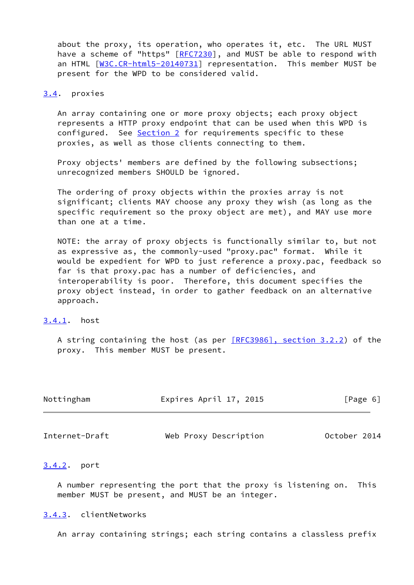about the proxy, its operation, who operates it, etc. The URL MUST have a scheme of "https" [\[RFC7230](https://datatracker.ietf.org/doc/pdf/rfc7230)], and MUST be able to respond with an HTML [\[W3C.CR-html5-20140731](#page-12-2)] representation. This member MUST be present for the WPD to be considered valid.

### <span id="page-6-0"></span>[3.4](#page-6-0). proxies

 An array containing one or more proxy objects; each proxy object represents a HTTP proxy endpoint that can be used when this WPD is configured. See [Section 2](#page-3-2) for requirements specific to these proxies, as well as those clients connecting to them.

 Proxy objects' members are defined by the following subsections; unrecognized members SHOULD be ignored.

 The ordering of proxy objects within the proxies array is not significant; clients MAY choose any proxy they wish (as long as the specific requirement so the proxy object are met), and MAY use more than one at a time.

 NOTE: the array of proxy objects is functionally similar to, but not as expressive as, the commonly-used "proxy.pac" format. While it would be expedient for WPD to just reference a proxy.pac, feedback so far is that proxy.pac has a number of deficiencies, and interoperability is poor. Therefore, this document specifies the proxy object instead, in order to gather feedback on an alternative approach.

## <span id="page-6-1"></span>[3.4.1](#page-6-1). host

 A string containing the host (as per [\[RFC3986\], section](https://datatracker.ietf.org/doc/pdf/rfc3986#section-3.2.2) 3.2.2) of the proxy. This member MUST be present.

| Nottingham | Expires April 17, 2015 | [Page 6] |
|------------|------------------------|----------|
|            |                        |          |

<span id="page-6-3"></span>Internet-Draft Web Proxy Description October 2014

## <span id="page-6-2"></span>[3.4.2](#page-6-2). port

 A number representing the port that the proxy is listening on. This member MUST be present, and MUST be an integer.

#### <span id="page-6-4"></span>[3.4.3](#page-6-4). clientNetworks

An array containing strings; each string contains a classless prefix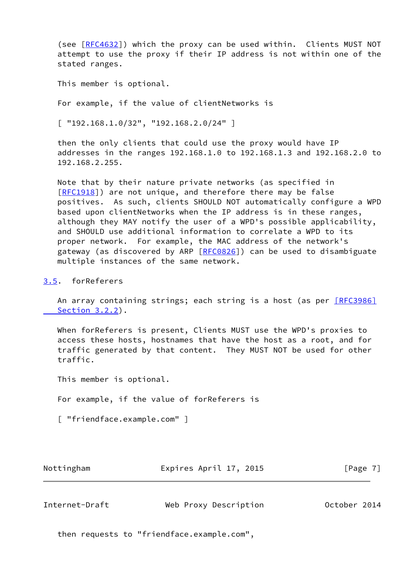(see [\[RFC4632](https://datatracker.ietf.org/doc/pdf/rfc4632)]) which the proxy can be used within. Clients MUST NOT attempt to use the proxy if their IP address is not within one of the stated ranges.

This member is optional.

For example, if the value of clientNetworks is

 $[$  "192.168.1.0/32", "192.168.2.0/24" ]

 then the only clients that could use the proxy would have IP addresses in the ranges 192.168.1.0 to 192.168.1.3 and 192.168.2.0 to 192.168.2.255.

 Note that by their nature private networks (as specified in [\[RFC1918](https://datatracker.ietf.org/doc/pdf/rfc1918)]) are not unique, and therefore there may be false positives. As such, clients SHOULD NOT automatically configure a WPD based upon clientNetworks when the IP address is in these ranges, although they MAY notify the user of a WPD's possible applicability, and SHOULD use additional information to correlate a WPD to its proper network. For example, the MAC address of the network's gateway (as discovered by ARP [[RFC0826](https://datatracker.ietf.org/doc/pdf/rfc0826)]) can be used to disambiguate multiple instances of the same network.

### <span id="page-7-0"></span>[3.5](#page-7-0). forReferers

An array containing strings; each string is a host (as per **[\[RFC3986\]](https://datatracker.ietf.org/doc/pdf/rfc3986#section-3.2.2)** Section 3.2.2).

 When forReferers is present, Clients MUST use the WPD's proxies to access these hosts, hostnames that have the host as a root, and for traffic generated by that content. They MUST NOT be used for other traffic.

This member is optional.

For example, if the value of forReferers is

[ "friendface.example.com" ]

| Nottingham | Expires April 17, 2015 | [Page 7] |
|------------|------------------------|----------|
|            |                        |          |

<span id="page-7-1"></span>

| Internet-Draft | Web Proxy Description | October 2014 |  |
|----------------|-----------------------|--------------|--|
|                |                       |              |  |

then requests to "friendface.example.com",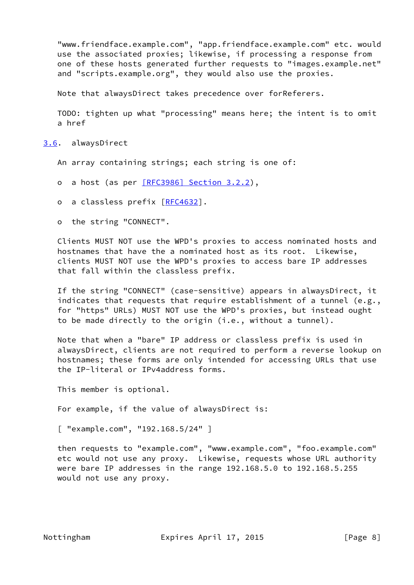"www.friendface.example.com", "app.friendface.example.com" etc. would use the associated proxies; likewise, if processing a response from one of these hosts generated further requests to "images.example.net" and "scripts.example.org", they would also use the proxies.

Note that alwaysDirect takes precedence over forReferers.

 TODO: tighten up what "processing" means here; the intent is to omit a href

<span id="page-8-0"></span>[3.6](#page-8-0). alwaysDirect

An array containing strings; each string is one of:

- o a host (as per [\[RFC3986\] Section](https://datatracker.ietf.org/doc/pdf/rfc3986#section-3.2.2) 3.2.2),
- o a classless prefix [[RFC4632](https://datatracker.ietf.org/doc/pdf/rfc4632)].
- o the string "CONNECT".

 Clients MUST NOT use the WPD's proxies to access nominated hosts and hostnames that have the a nominated host as its root. Likewise, clients MUST NOT use the WPD's proxies to access bare IP addresses that fall within the classless prefix.

 If the string "CONNECT" (case-sensitive) appears in alwaysDirect, it indicates that requests that require establishment of a tunnel (e.g., for "https" URLs) MUST NOT use the WPD's proxies, but instead ought to be made directly to the origin (i.e., without a tunnel).

 Note that when a "bare" IP address or classless prefix is used in alwaysDirect, clients are not required to perform a reverse lookup on hostnames; these forms are only intended for accessing URLs that use the IP-literal or IPv4address forms.

This member is optional.

For example, if the value of alwaysDirect is:

[ "example.com", "192.168.5/24" ]

 then requests to "example.com", "www.example.com", "foo.example.com" etc would not use any proxy. Likewise, requests whose URL authority were bare IP addresses in the range 192.168.5.0 to 192.168.5.255 would not use any proxy.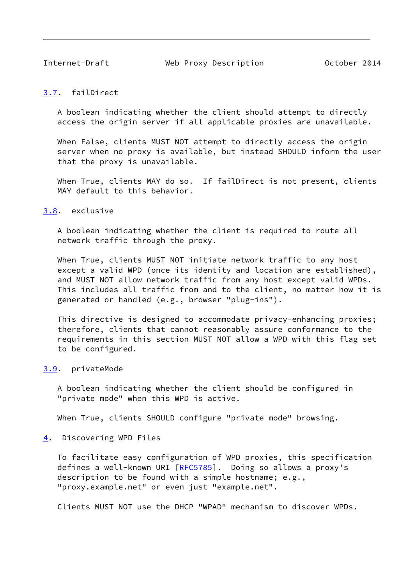<span id="page-9-1"></span>

Internet-Draft Web Proxy Description October 2014

## <span id="page-9-0"></span>[3.7](#page-9-0). failDirect

 A boolean indicating whether the client should attempt to directly access the origin server if all applicable proxies are unavailable.

 When False, clients MUST NOT attempt to directly access the origin server when no proxy is available, but instead SHOULD inform the user that the proxy is unavailable.

 When True, clients MAY do so. If failDirect is not present, clients MAY default to this behavior.

# <span id="page-9-2"></span>[3.8](#page-9-2). exclusive

 A boolean indicating whether the client is required to route all network traffic through the proxy.

 When True, clients MUST NOT initiate network traffic to any host except a valid WPD (once its identity and location are established), and MUST NOT allow network traffic from any host except valid WPDs. This includes all traffic from and to the client, no matter how it is generated or handled (e.g., browser "plug-ins").

 This directive is designed to accommodate privacy-enhancing proxies; therefore, clients that cannot reasonably assure conformance to the requirements in this section MUST NOT allow a WPD with this flag set to be configured.

#### <span id="page-9-3"></span>[3.9](#page-9-3). privateMode

 A boolean indicating whether the client should be configured in "private mode" when this WPD is active.

When True, clients SHOULD configure "private mode" browsing.

#### <span id="page-9-4"></span>[4](#page-9-4). Discovering WPD Files

 To facilitate easy configuration of WPD proxies, this specification defines a well-known URI [\[RFC5785](https://datatracker.ietf.org/doc/pdf/rfc5785)]. Doing so allows a proxy's description to be found with a simple hostname; e.g., "proxy.example.net" or even just "example.net".

Clients MUST NOT use the DHCP "WPAD" mechanism to discover WPDs.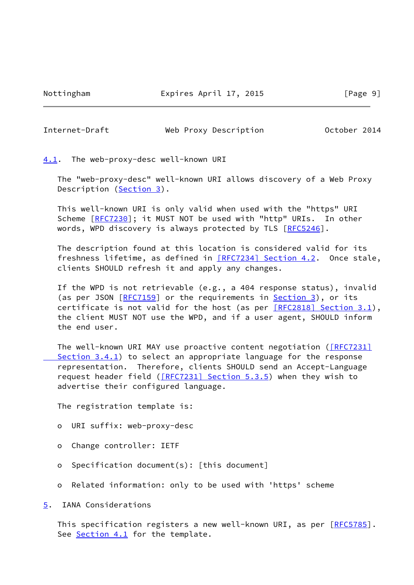Nottingham **Expires April 17, 2015** [Page 9]

<span id="page-10-1"></span>Internet-Draft Web Proxy Description October 2014

<span id="page-10-0"></span>[4.1](#page-10-0). The web-proxy-desc well-known URI

 The "web-proxy-desc" well-known URI allows discovery of a Web Proxy Description [\(Section 3](#page-4-0)).

 This well-known URI is only valid when used with the "https" URI Scheme [\[RFC7230](https://datatracker.ietf.org/doc/pdf/rfc7230)]; it MUST NOT be used with "http" URIs. In other words, WPD discovery is always protected by TLS [\[RFC5246](https://datatracker.ietf.org/doc/pdf/rfc5246)].

 The description found at this location is considered valid for its freshness lifetime, as defined in [\[RFC7234\] Section](https://datatracker.ietf.org/doc/pdf/rfc7234#section-4.2) 4.2. Once stale, clients SHOULD refresh it and apply any changes.

 If the WPD is not retrievable (e.g., a 404 response status), invalid (as per JSON [\[RFC7159](https://datatracker.ietf.org/doc/pdf/rfc7159)] or the requirements in [Section 3\)](#page-4-0), or its certificate is not valid for the host (as per  $[REC2818]$  Section 3.1), the client MUST NOT use the WPD, and if a user agent, SHOULD inform the end user.

The well-known URI MAY use proactive content negotiation (*[RFC7231]* Section 3.4.1) to select an appropriate language for the response representation. Therefore, clients SHOULD send an Accept-Language request header field  $($  $[$ RFC7231] Section 5.3.5) when they wish to advertise their configured language.

The registration template is:

- o URI suffix: web-proxy-desc
- o Change controller: IETF
- o Specification document(s): [this document]
- o Related information: only to be used with 'https' scheme

<span id="page-10-2"></span>[5](#page-10-2). IANA Considerations

This specification registers a new well-known URI, as per [[RFC5785](https://datatracker.ietf.org/doc/pdf/rfc5785)]. See [Section 4.1](#page-10-0) for the template.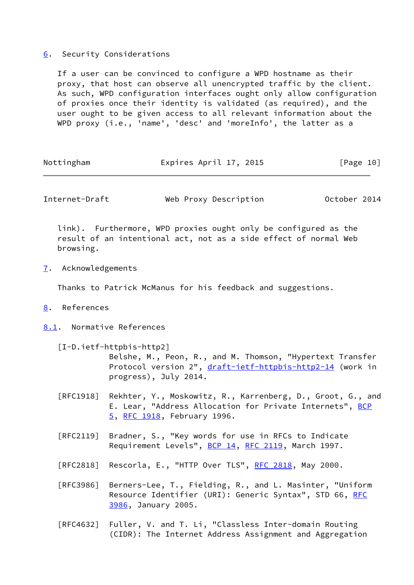## <span id="page-11-0"></span>[6](#page-11-0). Security Considerations

 If a user can be convinced to configure a WPD hostname as their proxy, that host can observe all unencrypted traffic by the client. As such, WPD configuration interfaces ought only allow configuration of proxies once their identity is validated (as required), and the user ought to be given access to all relevant information about the WPD proxy (i.e., 'name', 'desc' and 'moreInfo', the latter as a

| Nottingham | Expires April 17, 2015 | [Page 10] |
|------------|------------------------|-----------|
|            |                        |           |

<span id="page-11-2"></span>Internet-Draft Web Proxy Description October 2014

 link). Furthermore, WPD proxies ought only be configured as the result of an intentional act, not as a side effect of normal Web browsing.

<span id="page-11-1"></span>[7](#page-11-1). Acknowledgements

Thanks to Patrick McManus for his feedback and suggestions.

- <span id="page-11-3"></span>[8](#page-11-3). References
- <span id="page-11-4"></span>[8.1](#page-11-4). Normative References

<span id="page-11-5"></span>[I-D.ietf-httpbis-http2]

 Belshe, M., Peon, R., and M. Thomson, "Hypertext Transfer Protocol version 2", [draft-ietf-httpbis-http2-14](https://datatracker.ietf.org/doc/pdf/draft-ietf-httpbis-http2-14) (work in progress), July 2014.

- [RFC1918] Rekhter, Y., Moskowitz, R., Karrenberg, D., Groot, G., and E. Lear, "Address Allocation for Private Internets", [BCP](https://datatracker.ietf.org/doc/pdf/bcp5) [5,](https://datatracker.ietf.org/doc/pdf/bcp5) [RFC 1918](https://datatracker.ietf.org/doc/pdf/rfc1918), February 1996.
- [RFC2119] Bradner, S., "Key words for use in RFCs to Indicate Requirement Levels", [BCP 14](https://datatracker.ietf.org/doc/pdf/bcp14), [RFC 2119](https://datatracker.ietf.org/doc/pdf/rfc2119), March 1997.
- [RFC2818] Rescorla, E., "HTTP Over TLS", [RFC 2818](https://datatracker.ietf.org/doc/pdf/rfc2818), May 2000.
- [RFC3986] Berners-Lee, T., Fielding, R., and L. Masinter, "Uniform Resource Identifier (URI): Generic Syntax", STD 66, [RFC](https://datatracker.ietf.org/doc/pdf/rfc3986) [3986,](https://datatracker.ietf.org/doc/pdf/rfc3986) January 2005.
- [RFC4632] Fuller, V. and T. Li, "Classless Inter-domain Routing (CIDR): The Internet Address Assignment and Aggregation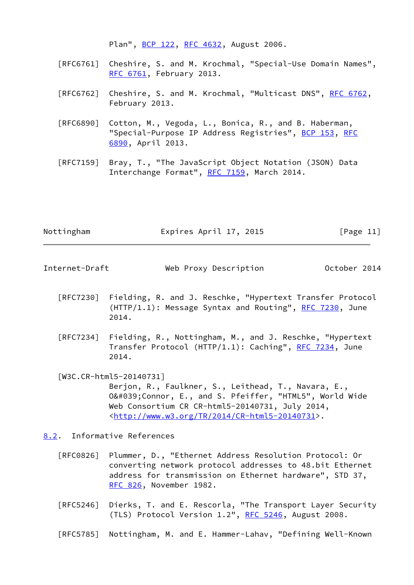Plan", [BCP 122](https://datatracker.ietf.org/doc/pdf/bcp122), [RFC 4632,](https://datatracker.ietf.org/doc/pdf/rfc4632) August 2006.

- [RFC6761] Cheshire, S. and M. Krochmal, "Special-Use Domain Names", [RFC 6761,](https://datatracker.ietf.org/doc/pdf/rfc6761) February 2013.
- [RFC6762] Cheshire, S. and M. Krochmal, "Multicast DNS", [RFC 6762](https://datatracker.ietf.org/doc/pdf/rfc6762), February 2013.
- [RFC6890] Cotton, M., Vegoda, L., Bonica, R., and B. Haberman, "Special-Purpose IP Address Registries", [BCP 153,](https://datatracker.ietf.org/doc/pdf/bcp153) [RFC](https://datatracker.ietf.org/doc/pdf/rfc6890) [6890,](https://datatracker.ietf.org/doc/pdf/rfc6890) April 2013.
- [RFC7159] Bray, T., "The JavaScript Object Notation (JSON) Data Interchange Format", [RFC 7159](https://datatracker.ietf.org/doc/pdf/rfc7159), March 2014.

| Nottingham | Expires April 17, 2015 | [Page 11] |
|------------|------------------------|-----------|
|            |                        |           |

<span id="page-12-1"></span>Internet-Draft Web Proxy Description October 2014

- [RFC7230] Fielding, R. and J. Reschke, "Hypertext Transfer Protocol  $(HTTP/1.1): Message Syntax and Routing", RFC 7230, June$  $(HTTP/1.1): Message Syntax and Routing", RFC 7230, June$  $(HTTP/1.1): Message Syntax and Routing", RFC 7230, June$ 2014.
- [RFC7234] Fielding, R., Nottingham, M., and J. Reschke, "Hypertext Transfer Protocol (HTTP/1.1): Caching", [RFC 7234,](https://datatracker.ietf.org/doc/pdf/rfc7234) June 2014.
- <span id="page-12-2"></span> [W3C.CR-html5-20140731] Berjon, R., Faulkner, S., Leithead, T., Navara, E., 0'Connor, E., and S. Pfeiffer, "HTML5", World Wide Web Consortium CR CR-html5-20140731, July 2014, <[http://www.w3.org/TR/2014/CR-html5-20140731>](http://www.w3.org/TR/2014/CR-html5-20140731).

<span id="page-12-0"></span>[8.2](#page-12-0). Informative References

- [RFC0826] Plummer, D., "Ethernet Address Resolution Protocol: Or converting network protocol addresses to 48.bit Ethernet address for transmission on Ethernet hardware", STD 37, [RFC 826](https://datatracker.ietf.org/doc/pdf/rfc826), November 1982.
- [RFC5246] Dierks, T. and E. Rescorla, "The Transport Layer Security (TLS) Protocol Version 1.2", [RFC 5246](https://datatracker.ietf.org/doc/pdf/rfc5246), August 2008.
- [RFC5785] Nottingham, M. and E. Hammer-Lahav, "Defining Well-Known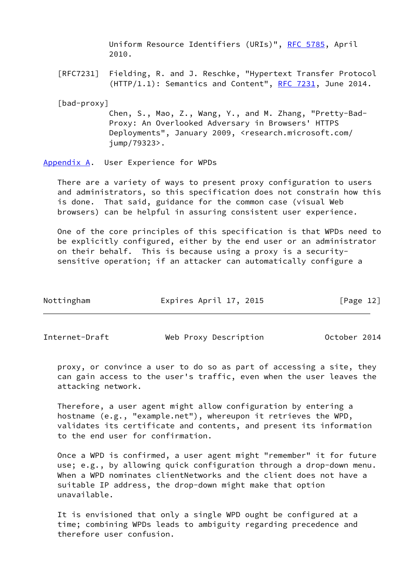Uniform Resource Identifiers (URIs)", [RFC 5785](https://datatracker.ietf.org/doc/pdf/rfc5785), April 2010.

 [RFC7231] Fielding, R. and J. Reschke, "Hypertext Transfer Protocol  $(HTTP/1.1)$ : Semantics and Content", [RFC 7231,](https://datatracker.ietf.org/doc/pdf/rfc7231) June 2014.

<span id="page-13-2"></span>[bad-proxy]

 Chen, S., Mao, Z., Wang, Y., and M. Zhang, "Pretty-Bad- Proxy: An Overlooked Adversary in Browsers' HTTPS Deployments", January 2009, <research.microsoft.com/ jump/79323>.

<span id="page-13-0"></span>[Appendix A.](#page-13-0) User Experience for WPDs

 There are a variety of ways to present proxy configuration to users and administrators, so this specification does not constrain how this is done. That said, guidance for the common case (visual Web browsers) can be helpful in assuring consistent user experience.

 One of the core principles of this specification is that WPDs need to be explicitly configured, either by the end user or an administrator on their behalf. This is because using a proxy is a security sensitive operation; if an attacker can automatically configure a

| Nottingham | Expires April 17, 2015 | [Page 12] |
|------------|------------------------|-----------|
|            |                        |           |

<span id="page-13-1"></span>Internet-Draft Web Proxy Description October 2014

 proxy, or convince a user to do so as part of accessing a site, they can gain access to the user's traffic, even when the user leaves the attacking network.

 Therefore, a user agent might allow configuration by entering a hostname (e.g., "example.net"), whereupon it retrieves the WPD, validates its certificate and contents, and present its information to the end user for confirmation.

 Once a WPD is confirmed, a user agent might "remember" it for future use; e.g., by allowing quick configuration through a drop-down menu. When a WPD nominates clientNetworks and the client does not have a suitable IP address, the drop-down might make that option unavailable.

 It is envisioned that only a single WPD ought be configured at a time; combining WPDs leads to ambiguity regarding precedence and therefore user confusion.